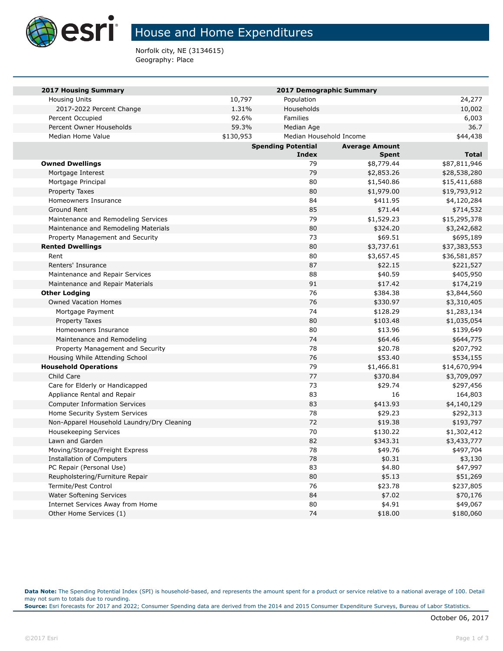

## House and Home Expenditures

Norfolk city, NE (3134615) Geography: Place

| <b>2017 Housing Summary</b>                | 2017 Demographic Summary                           |                         |            |              |  |
|--------------------------------------------|----------------------------------------------------|-------------------------|------------|--------------|--|
| <b>Housing Units</b>                       | 10,797                                             | Population              |            | 24,277       |  |
| 2017-2022 Percent Change                   | 1.31%                                              | Households              |            | 10,002       |  |
| Percent Occupied                           | 92.6%                                              | <b>Families</b>         |            | 6,003        |  |
| Percent Owner Households                   | 59.3%                                              | Median Age              |            | 36.7         |  |
| Median Home Value                          | \$130,953                                          | Median Household Income |            | \$44,438     |  |
|                                            | <b>Spending Potential</b><br><b>Average Amount</b> |                         |            |              |  |
|                                            |                                                    | Index                   | Spent      | Total        |  |
| <b>Owned Dwellings</b>                     |                                                    | 79                      | \$8,779.44 | \$87,811,946 |  |
| Mortgage Interest                          |                                                    | 79                      | \$2,853.26 | \$28,538,280 |  |
| Mortgage Principal                         |                                                    | 80                      | \$1,540.86 | \$15,411,688 |  |
| Property Taxes                             |                                                    | 80                      | \$1,979.00 | \$19,793,912 |  |
| Homeowners Insurance                       |                                                    | 84                      | \$411.95   | \$4,120,284  |  |
| Ground Rent                                |                                                    | 85                      | \$71.44    | \$714,532    |  |
| Maintenance and Remodeling Services        |                                                    | 79                      | \$1,529.23 | \$15,295,378 |  |
| Maintenance and Remodeling Materials       |                                                    | 80                      | \$324.20   | \$3,242,682  |  |
| Property Management and Security           |                                                    | 73                      | \$69.51    | \$695,189    |  |
| <b>Rented Dwellings</b>                    |                                                    | 80                      | \$3,737.61 | \$37,383,553 |  |
| Rent                                       |                                                    | 80                      | \$3,657.45 | \$36,581,857 |  |
| Renters' Insurance                         |                                                    | 87                      | \$22.15    | \$221,527    |  |
| Maintenance and Repair Services            |                                                    | 88                      | \$40.59    | \$405,950    |  |
| Maintenance and Repair Materials           |                                                    | 91                      | \$17.42    | \$174,219    |  |
| <b>Other Lodging</b>                       |                                                    | 76                      | \$384.38   | \$3,844,560  |  |
| <b>Owned Vacation Homes</b>                |                                                    | 76                      | \$330.97   | \$3,310,405  |  |
| Mortgage Payment                           |                                                    | 74                      | \$128.29   | \$1,283,134  |  |
| Property Taxes                             |                                                    | 80                      | \$103.48   | \$1,035,054  |  |
| Homeowners Insurance                       |                                                    | 80                      | \$13.96    | \$139,649    |  |
| Maintenance and Remodeling                 |                                                    | 74                      | \$64.46    | \$644,775    |  |
| Property Management and Security           |                                                    | 78                      | \$20.78    | \$207,792    |  |
| Housing While Attending School             |                                                    | 76                      | \$53.40    | \$534,155    |  |
| <b>Household Operations</b>                |                                                    | 79                      | \$1,466.81 | \$14,670,994 |  |
| Child Care                                 |                                                    | 77                      | \$370.84   | \$3,709,097  |  |
| Care for Elderly or Handicapped            |                                                    | 73                      | \$29.74    | \$297,456    |  |
| Appliance Rental and Repair                |                                                    | 83                      | 16         | 164,803      |  |
| <b>Computer Information Services</b>       |                                                    | 83                      | \$413.93   | \$4,140,129  |  |
| Home Security System Services              |                                                    | 78                      | \$29.23    | \$292,313    |  |
| Non-Apparel Household Laundry/Dry Cleaning |                                                    | 72                      | \$19.38    | \$193,797    |  |
| <b>Housekeeping Services</b>               |                                                    | 70                      | \$130.22   | \$1,302,412  |  |
| Lawn and Garden                            |                                                    | 82                      | \$343.31   | \$3,433,777  |  |
| Moving/Storage/Freight Express             |                                                    | 78                      | \$49.76    | \$497,704    |  |
| <b>Installation of Computers</b>           |                                                    | 78                      | \$0.31     | \$3,130      |  |
| PC Repair (Personal Use)                   |                                                    | 83                      | \$4.80     | \$47,997     |  |
| Reupholstering/Furniture Repair            |                                                    | 80                      | \$5.13     | \$51,269     |  |
| Termite/Pest Control                       |                                                    | 76                      | \$23.78    | \$237,805    |  |
| Water Softening Services                   |                                                    | 84                      | \$7.02     | \$70,176     |  |
| Internet Services Away from Home           |                                                    | 80                      | \$4.91     | \$49,067     |  |
| Other Home Services (1)                    |                                                    | 74                      | \$18.00    | \$180,060    |  |

**Data Note:** The Spending Potential Index (SPI) is household-based, and represents the amount spent for a product or service relative to a national average of 100. Detail may not sum to totals due to rounding.

**Source:** Esri forecasts for 2017 and 2022; Consumer Spending data are derived from the 2014 and 2015 Consumer Expenditure Surveys, Bureau of Labor Statistics.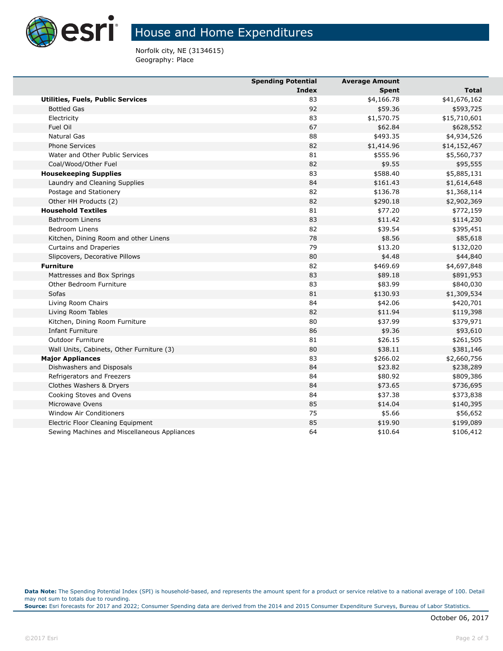

## House and Home Expenditures

Norfolk city, NE (3134615) Geography: Place

|                                              | <b>Spending Potential</b> | <b>Average Amount</b> |              |
|----------------------------------------------|---------------------------|-----------------------|--------------|
|                                              | Index                     | <b>Spent</b>          | <b>Total</b> |
| <b>Utilities, Fuels, Public Services</b>     | 83                        | \$4,166.78            | \$41,676,162 |
| <b>Bottled Gas</b>                           | 92                        | \$59.36               | \$593,725    |
| Electricity                                  | 83                        | \$1,570.75            | \$15,710,601 |
| Fuel Oil                                     | 67                        | \$62.84               | \$628,552    |
| <b>Natural Gas</b>                           | 88                        | \$493.35              | \$4,934,526  |
| <b>Phone Services</b>                        | 82                        | \$1,414.96            | \$14,152,467 |
| Water and Other Public Services              | 81                        | \$555.96              | \$5,560,737  |
| Coal/Wood/Other Fuel                         | 82                        | \$9.55                | \$95,555     |
| <b>Housekeeping Supplies</b>                 | 83                        | \$588.40              | \$5,885,131  |
| Laundry and Cleaning Supplies                | 84                        | \$161.43              | \$1,614,648  |
| Postage and Stationery                       | 82                        | \$136.78              | \$1,368,114  |
| Other HH Products (2)                        | 82                        | \$290.18              | \$2,902,369  |
| <b>Household Textiles</b>                    | 81                        | \$77.20               | \$772,159    |
| <b>Bathroom Linens</b>                       | 83                        | \$11.42               | \$114,230    |
| Bedroom Linens                               | 82                        | \$39.54               | \$395,451    |
| Kitchen, Dining Room and other Linens        | 78                        | \$8.56                | \$85,618     |
| Curtains and Draperies                       | 79                        | \$13.20               | \$132,020    |
| Slipcovers, Decorative Pillows               | 80                        | \$4.48                | \$44,840     |
| <b>Furniture</b>                             | 82                        | \$469.69              | \$4,697,848  |
| Mattresses and Box Springs                   | 83                        | \$89.18               | \$891,953    |
| Other Bedroom Furniture                      | 83                        | \$83.99               | \$840,030    |
| Sofas                                        | 81                        | \$130.93              | \$1,309,534  |
| Living Room Chairs                           | 84                        | \$42.06               | \$420,701    |
| Living Room Tables                           | 82                        | \$11.94               | \$119,398    |
| Kitchen, Dining Room Furniture               | 80                        | \$37.99               | \$379,971    |
| <b>Infant Furniture</b>                      | 86                        | \$9.36                | \$93,610     |
| Outdoor Furniture                            | 81                        | \$26.15               | \$261,505    |
| Wall Units, Cabinets, Other Furniture (3)    | 80                        | \$38.11               | \$381,146    |
| <b>Major Appliances</b>                      | 83                        | \$266.02              | \$2,660,756  |
| Dishwashers and Disposals                    | 84                        | \$23.82               | \$238,289    |
| Refrigerators and Freezers                   | 84                        | \$80.92               | \$809,386    |
| Clothes Washers & Dryers                     | 84                        | \$73.65               | \$736,695    |
| Cooking Stoves and Ovens                     | 84                        | \$37.38               | \$373,838    |
| Microwave Ovens                              | 85                        | \$14.04               | \$140,395    |
| <b>Window Air Conditioners</b>               | 75                        | \$5.66                | \$56,652     |
| Electric Floor Cleaning Equipment            | 85                        | \$19.90               | \$199,089    |
| Sewing Machines and Miscellaneous Appliances | 64                        | \$10.64               | \$106,412    |

**Data Note:** The Spending Potential Index (SPI) is household-based, and represents the amount spent for a product or service relative to a national average of 100. Detail may not sum to totals due to rounding.

**Source:** Esri forecasts for 2017 and 2022; Consumer Spending data are derived from the 2014 and 2015 Consumer Expenditure Surveys, Bureau of Labor Statistics.